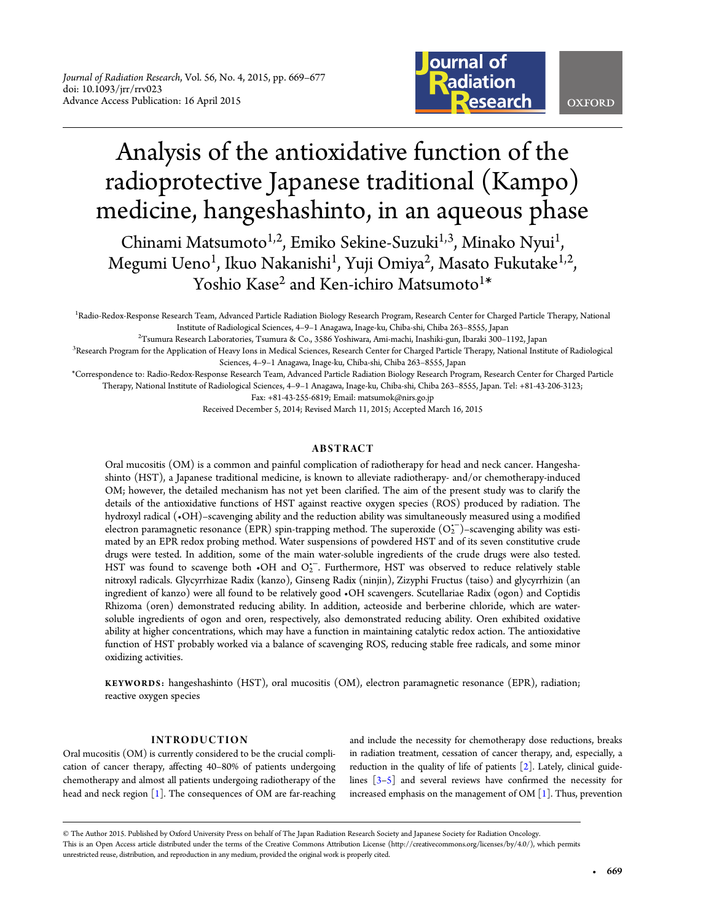

# Analysis of the antioxidative function of the radioprotective Japanese traditional (Kampo) medicine, hangeshashinto, in an aqueous phase

Chinami Matsumoto<sup>1,2</sup>, Emiko Sekine-Suzuki<sup>1,3</sup>, Minako Nyui<sup>1</sup>, , Megumi Ueno<sup>1</sup>, Ikuo Nakanishi<sup>1</sup>, Yuji Omiya<sup>2</sup>, Masato Fukutake<sup>1,2</sup>, , Yoshio Kase<sup>2</sup> and Ken-ichiro Matsumoto<sup>1\*</sup>

<sup>1</sup> Radio-Redox-Response Research Team, Advanced Particle Radiation Biology Research Program, Research Center for Charged Particle Therapy, National Institute of Radiological Sciences, 4–9–1 Anagawa, Inage-ku, Chiba-shi, Chiba 263–8555, Japan <sup>2</sup>

 $T$ Sumura Research Laboratories, Tsumura & Co., 3586 Yoshiwara, Ami-machi, Inashiki-gun, Ibaraki 300–1192, Japan

<sup>3</sup>Research Program for the Application of Heavy Ions in Medical Sciences, Research Center for Charged Particle Therapy, National Institute of Radiological Sciences, 4–9–1 Anagawa, Inage-ku, Chiba-shi, Chiba 263–8555, Japan

\*Correspondence to: Radio-Redox-Response Research Team, Advanced Particle Radiation Biology Research Program, Research Center for Charged Particle Therapy, National Institute of Radiological Sciences, 4–9–1 Anagawa, Inage-ku, Chiba-shi, Chiba 263–8555, Japan. Tel: +81-43-206-3123;

Fax: +81-43-255-6819; Email: matsumok@nirs.go.jp

Received December 5, 2014; Revised March 11, 2015; Accepted March 16, 2015

## ABSTRACT

Oral mucositis (OM) is a common and painful complication of radiotherapy for head and neck cancer. Hangeshashinto (HST), a Japanese traditional medicine, is known to alleviate radiotherapy- and/or chemotherapy-induced OM; however, the detailed mechanism has not yet been clarified. The aim of the present study was to clarify the details of the antioxidative functions of HST against reactive oxygen species (ROS) produced by radiation. The hydroxyl radical (•OH)–scavenging ability and the reduction ability was simultaneously measured using a modified electron paramagnetic resonance (EPR) spin-trapping method. The superoxide  $(O_2^-)$ –scavenging ability was estimated by an EPR redox probing method. Water suspensions of powdered HST and of its seven constitutive crude drugs were tested. In addition, some of the main water-soluble ingredients of the crude drugs were also tested. HST was found to scavenge both  $\cdot$ OH and O<sub>2</sub><sup>-</sup>. Furthermore, HST was observed to reduce relatively stable nitroxyl radicals. Glycyrrhizae Radix (kanzo), Ginseng Radix (ninjin), Zizyphi Fructus (taiso) and glycyrrhizin (an ingredient of kanzo) were all found to be relatively good •OH scavengers. Scutellariae Radix (ogon) and Coptidis Rhizoma (oren) demonstrated reducing ability. In addition, acteoside and berberine chloride, which are watersoluble ingredients of ogon and oren, respectively, also demonstrated reducing ability. Oren exhibited oxidative ability at higher concentrations, which may have a function in maintaining catalytic redox action. The antioxidative function of HST probably worked via a balance of scavenging ROS, reducing stable free radicals, and some minor oxidizing activities.

KEYWORDS: hangeshashinto (HST), oral mucositis (OM), electron paramagnetic resonance (EPR), radiation; reactive oxygen species

## INTRODUCTION

Oral mucositis (OM) is currently considered to be the crucial complication of cancer therapy, affecting 40–80% of patients undergoing chemotherapy and almost all patients undergoing radiotherapy of the head and neck region [[1](#page-8-0)]. The consequences of OM are far-reaching

and include the necessity for chemotherapy dose reductions, breaks in radiation treatment, cessation of cancer therapy, and, especially, a reduction in the quality of life of patients  $[2]$  $[2]$ . Lately, clinical guidelines  $\begin{bmatrix} 3-5 \end{bmatrix}$  $\begin{bmatrix} 3-5 \end{bmatrix}$  $\begin{bmatrix} 3-5 \end{bmatrix}$  and several reviews have confirmed the necessity for increased emphasis on the management of OM [[1](#page-8-0)]. Thus, prevention

<sup>©</sup> The Author 2015. Published by Oxford University Press on behalf of The Japan Radiation Research Society and Japanese Society for Radiation Oncology. This is an Open Access article distributed under the terms of the Creative Commons Attribution License ([http://creativecommons.org/licenses/by/4.0/\)](http://creativecommons.org/licenses/by/4.0/), which permits unrestricted reuse, distribution, and reproduction in any medium, provided the original work is properly cited.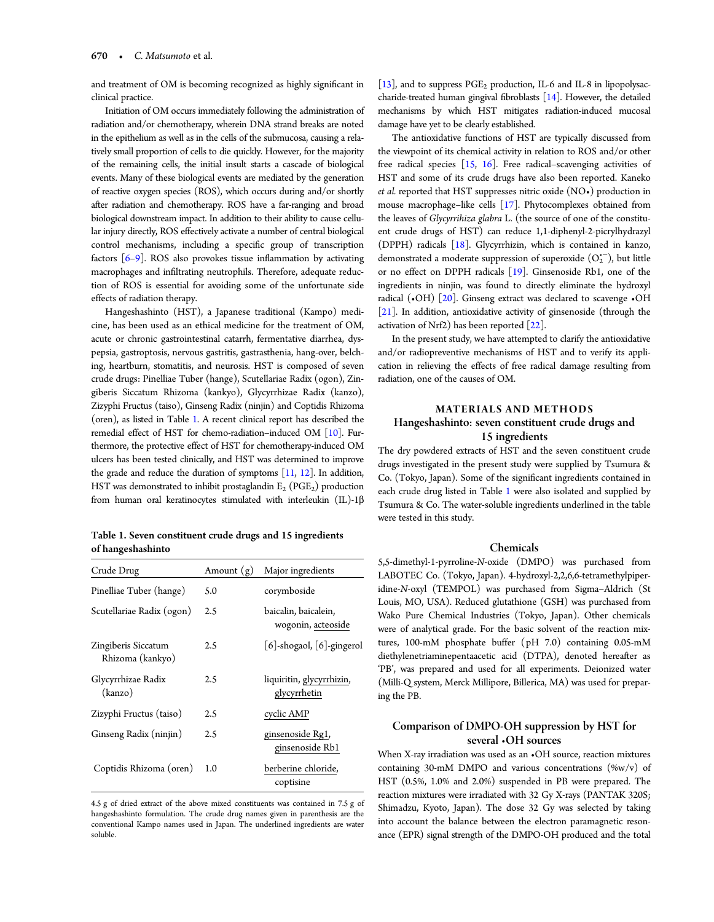and treatment of OM is becoming recognized as highly significant in clinical practice.

Initiation of OM occurs immediately following the administration of radiation and/or chemotherapy, wherein DNA strand breaks are noted in the epithelium as well as in the cells of the submucosa, causing a relatively small proportion of cells to die quickly. However, for the majority of the remaining cells, the initial insult starts a cascade of biological events. Many of these biological events are mediated by the generation of reactive oxygen species (ROS), which occurs during and/or shortly after radiation and chemotherapy. ROS have a far-ranging and broad biological downstream impact. In addition to their ability to cause cellular injury directly, ROS effectively activate a number of central biological control mechanisms, including a specific group of transcription factors [\[6](#page-8-0)–[9](#page-8-0)]. ROS also provokes tissue inflammation by activating macrophages and infiltrating neutrophils. Therefore, adequate reduction of ROS is essential for avoiding some of the unfortunate side effects of radiation therapy.

Hangeshashinto (HST), a Japanese traditional (Kampo) medicine, has been used as an ethical medicine for the treatment of OM, acute or chronic gastrointestinal catarrh, fermentative diarrhea, dyspepsia, gastroptosis, nervous gastritis, gastrasthenia, hang-over, belching, heartburn, stomatitis, and neurosis. HST is composed of seven crude drugs: Pinelliae Tuber (hange), Scutellariae Radix (ogon), Zingiberis Siccatum Rhizoma (kankyo), Glycyrrhizae Radix (kanzo), Zizyphi Fructus (taiso), Ginseng Radix (ninjin) and Coptidis Rhizoma (oren), as listed in Table 1. A recent clinical report has described the remedial effect of HST for chemo-radiation–induced OM [[10\]](#page-8-0). Furthermore, the protective effect of HST for chemotherapy-induced OM ulcers has been tested clinically, and HST was determined to improve the grade and reduce the duration of symptoms  $[11, 12]$  $[11, 12]$  $[11, 12]$  $[11, 12]$ . In addition, HST was demonstrated to inhibit prostaglandin  $E_2$  (PGE<sub>2</sub>) production from human oral keratinocytes stimulated with interleukin (IL)-1β

Table 1. Seven constituent crude drugs and 15 ingredients of hangeshashinto

| Crude Drug                              | Amount $(g)$ | Major ingredients                          |  |
|-----------------------------------------|--------------|--------------------------------------------|--|
| Pinelliae Tuber (hange)                 | 5.0          | corymboside                                |  |
| Scutellariae Radix (ogon)               | 2.5          | baicalin, baicalein,<br>wogonin, acteoside |  |
| Zingiberis Siccatum<br>Rhizoma (kankyo) | 2.5          | [6]-shogaol, [6]-gingerol                  |  |
| Glycyrrhizae Radix<br>(kanzo)           | 2.5          | liquiritin, glycyrrhizin,<br>glycyrrhetin  |  |
| Zizyphi Fructus (taiso)                 | 2.5          | cyclic AMP                                 |  |
| Ginseng Radix (ninjin)                  | 2.5          | ginsenoside Rg1,<br>ginsenoside Rb1        |  |
| Coptidis Rhizoma (oren)                 | 1.0          | berberine chloride,<br>coptisine           |  |

4.5 g of dried extract of the above mixed constituents was contained in 7.5 g of hangeshashinto formulation. The crude drug names given in parenthesis are the conventional Kampo names used in Japan. The underlined ingredients are water soluble.

[[13\]](#page-8-0), and to suppress  $PGE_2$  production, IL-6 and IL-8 in lipopolysaccharide-treated human gingival fibroblasts  $[14]$  $[14]$ . However, the detailed mechanisms by which HST mitigates radiation-induced mucosal damage have yet to be clearly established.

The antioxidative functions of HST are typically discussed from the viewpoint of its chemical activity in relation to ROS and/or other free radical species  $[15, 16]$  $[15, 16]$  $[15, 16]$  $[15, 16]$ . Free radical–scavenging activities of HST and some of its crude drugs have also been reported. Kaneko et al. reported that HST suppresses nitric oxide (NO•) production in mouse macrophage–like cells  $[17]$  $[17]$ . Phytocomplexes obtained from the leaves of Glycyrrihiza glabra L. (the source of one of the constituent crude drugs of HST) can reduce 1,1-diphenyl-2-picrylhydrazyl (DPPH) radicals [\[18\]](#page-8-0). Glycyrrhizin, which is contained in kanzo, demonstrated a moderate suppression of superoxide  $(O_2^{\text{-}})$ , but little or no effect on DPPH radicals [[19\]](#page-8-0). Ginsenoside Rb1, one of the ingredients in ninjin, was found to directly eliminate the hydroxyl radical  $(-OH)$  [[20\]](#page-8-0). Ginseng extract was declared to scavenge  $-OH$ [[21](#page-8-0)]. In addition, antioxidative activity of ginsenoside (through the activation of Nrf2) has been reported  $[22]$  $[22]$  $[22]$ .

In the present study, we have attempted to clarify the antioxidative and/or radiopreventive mechanisms of HST and to verify its application in relieving the effects of free radical damage resulting from radiation, one of the causes of OM.

## MATERIALS AND METHODS Hangeshashinto: seven constituent crude drugs and 15 ingredients

The dry powdered extracts of HST and the seven constituent crude drugs investigated in the present study were supplied by Tsumura & Co. (Tokyo, Japan). Some of the significant ingredients contained in each crude drug listed in Table 1 were also isolated and supplied by Tsumura & Co. The water-soluble ingredients underlined in the table were tested in this study.

## Chemicals

5,5-dimethyl-1-pyrroline-N-oxide (DMPO) was purchased from LABOTEC Co. (Tokyo, Japan). 4-hydroxyl-2,2,6,6-tetramethylpiperidine-N-oxyl (TEMPOL) was purchased from Sigma–Aldrich (St Louis, MO, USA). Reduced glutathione (GSH) was purchased from Wako Pure Chemical Industries (Tokyo, Japan). Other chemicals were of analytical grade. For the basic solvent of the reaction mixtures, 100-mM phosphate buffer (pH 7.0) containing 0.05-mM diethylenetriaminepentaacetic acid (DTPA), denoted hereafter as 'PB', was prepared and used for all experiments. Deionized water (Milli-Q system, Merck Millipore, Billerica, MA) was used for preparing the PB.

## Comparison of DMPO-OH suppression by HST for several •OH sources

When X-ray irradiation was used as an •OH source, reaction mixtures containing 30-mM DMPO and various concentrations (%w/v) of HST (0.5%, 1.0% and 2.0%) suspended in PB were prepared. The reaction mixtures were irradiated with 32 Gy X-rays (PANTAK 320S; Shimadzu, Kyoto, Japan). The dose 32 Gy was selected by taking into account the balance between the electron paramagnetic resonance (EPR) signal strength of the DMPO-OH produced and the total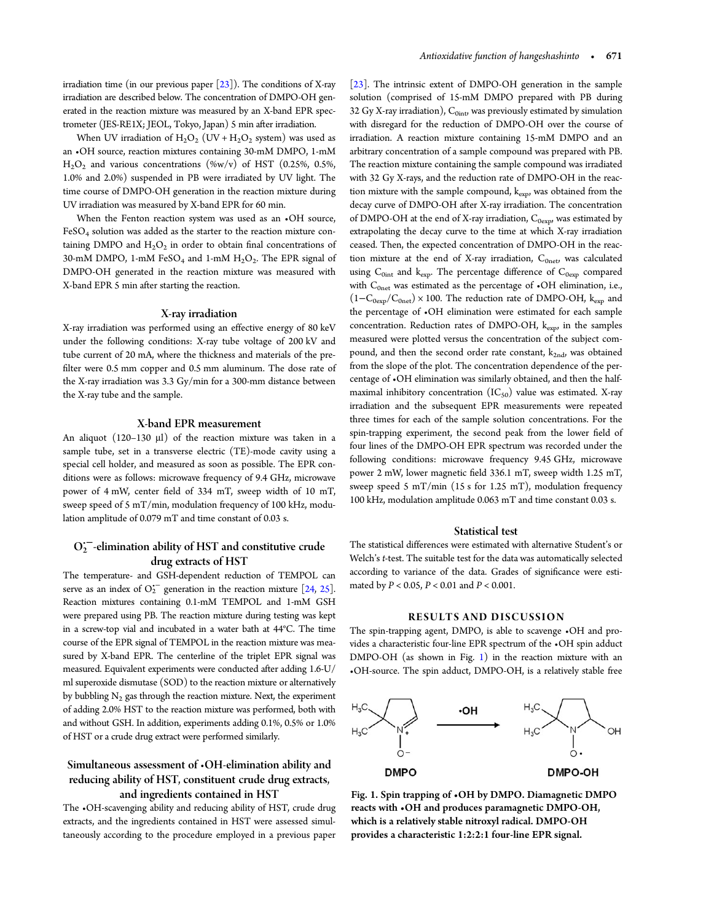irradiation time (in our previous paper  $[23]$  $[23]$ ). The conditions of X-ray irradiation are described below. The concentration of DMPO-OH generated in the reaction mixture was measured by an X-band EPR spectrometer (JES-RE1X; JEOL, Tokyo, Japan) 5 min after irradiation.

When UV irradiation of  $H_2O_2$  (UV +  $H_2O_2$  system) was used as an •OH source, reaction mixtures containing 30-mM DMPO, 1-mM  $H<sub>2</sub>O<sub>2</sub>$  and various concentrations (%w/v) of HST (0.25%, 0.5%, 1.0% and 2.0%) suspended in PB were irradiated by UV light. The time course of DMPO-OH generation in the reaction mixture during UV irradiation was measured by X-band EPR for 60 min.

When the Fenton reaction system was used as an  $\cdot$ OH source, FeSO4 solution was added as the starter to the reaction mixture containing DMPO and  $H_2O_2$  in order to obtain final concentrations of 30-mM DMPO, 1-mM FeSO<sub>4</sub> and 1-mM  $H_2O_2$ . The EPR signal of DMPO-OH generated in the reaction mixture was measured with X-band EPR 5 min after starting the reaction.

### X-ray irradiation

X-ray irradiation was performed using an effective energy of 80 keV under the following conditions: X-ray tube voltage of 200 kV and tube current of 20 mA, where the thickness and materials of the prefilter were 0.5 mm copper and 0.5 mm aluminum. The dose rate of the X-ray irradiation was 3.3 Gy/min for a 300-mm distance between the X-ray tube and the sample.

## X-band EPR measurement

An aliquot (120–130 μl) of the reaction mixture was taken in a sample tube, set in a transverse electric (TE)-mode cavity using a special cell holder, and measured as soon as possible. The EPR conditions were as follows: microwave frequency of 9.4 GHz, microwave power of 4 mW, center field of 334 mT, sweep width of 10 mT, sweep speed of 5 mT/min, modulation frequency of 100 kHz, modulation amplitude of 0.079 mT and time constant of 0.03 s.

# $O_2^{\leftarrow}$ -elimination ability of HST and constitutive crude drug extracts of HST

The temperature- and GSH-dependent reduction of TEMPOL can serve as an index of  $O_2^{\bullet -}$  generation in the reaction mixture [[24,](#page-8-0) [25\]](#page-8-0). Reaction mixtures containing 0.1-mM TEMPOL and 1-mM GSH were prepared using PB. The reaction mixture during testing was kept in a screw-top vial and incubated in a water bath at 44°C. The time course of the EPR signal of TEMPOL in the reaction mixture was measured by X-band EPR. The centerline of the triplet EPR signal was measured. Equivalent experiments were conducted after adding 1.6-U/ ml superoxide dismutase (SOD) to the reaction mixture or alternatively by bubbling  $N_2$  gas through the reaction mixture. Next, the experiment of adding 2.0% HST to the reaction mixture was performed, both with and without GSH. In addition, experiments adding 0.1%, 0.5% or 1.0% of HST or a crude drug extract were performed similarly.

# Simultaneous assessment of •OH-elimination ability and reducing ability of HST, constituent crude drug extracts, and ingredients contained in HST

The •OH-scavenging ability and reducing ability of HST, crude drug extracts, and the ingredients contained in HST were assessed simultaneously according to the procedure employed in a previous paper [\[23\]](#page-8-0). The intrinsic extent of DMPO-OH generation in the sample solution (comprised of 15-mM DMPO prepared with PB during 32 Gy X-ray irradiation),  $C_{0int}$  was previously estimated by simulation with disregard for the reduction of DMPO-OH over the course of irradiation. A reaction mixture containing 15-mM DMPO and an arbitrary concentration of a sample compound was prepared with PB. The reaction mixture containing the sample compound was irradiated with 32 Gy X-rays, and the reduction rate of DMPO-OH in the reaction mixture with the sample compound,  $k_{exp}$ , was obtained from the decay curve of DMPO-OH after X-ray irradiation. The concentration of DMPO-OH at the end of X-ray irradiation,  $C_{0 \text{exp}}$  was estimated by extrapolating the decay curve to the time at which X-ray irradiation ceased. Then, the expected concentration of DMPO-OH in the reaction mixture at the end of X-ray irradiation,  $C_{0net}$ , was calculated using  $C_{0int}$  and  $k_{exp}$ . The percentage difference of  $C_{0exp}$  compared with  $C_{0net}$  was estimated as the percentage of  $\cdot$ OH elimination, i.e.,  $(1-C_{0exp}/C_{0net}) \times 100$ . The reduction rate of DMPO-OH,  $k_{exp}$  and the percentage of •OH elimination were estimated for each sample concentration. Reduction rates of DMPO-OH,  $k_{\text{exp}}$ , in the samples measured were plotted versus the concentration of the subject compound, and then the second order rate constant,  $k_{2nd}$ , was obtained from the slope of the plot. The concentration dependence of the percentage of •OH elimination was similarly obtained, and then the halfmaximal inhibitory concentration  $(IC_{50})$  value was estimated. X-ray irradiation and the subsequent EPR measurements were repeated three times for each of the sample solution concentrations. For the spin-trapping experiment, the second peak from the lower field of four lines of the DMPO-OH EPR spectrum was recorded under the following conditions: microwave frequency 9.45 GHz, microwave power 2 mW, lower magnetic field 336.1 mT, sweep width 1.25 mT, sweep speed 5 mT/min (15 s for 1.25 mT), modulation frequency 100 kHz, modulation amplitude 0.063 mT and time constant 0.03 s.

## Statistical test

The statistical differences were estimated with alternative Student's or Welch's t-test. The suitable test for the data was automatically selected according to variance of the data. Grades of significance were estimated by  $P < 0.05$ ,  $P < 0.01$  and  $P < 0.001$ .

### RESULTS AND DISCUSSION

The spin-trapping agent, DMPO, is able to scavenge •OH and provides a characteristic four-line EPR spectrum of the •OH spin adduct DMPO-OH (as shown in Fig. 1) in the reaction mixture with an •OH-source. The spin adduct, DMPO-OH, is a relatively stable free



Fig. 1. Spin trapping of •OH by DMPO. Diamagnetic DMPO reacts with •OH and produces paramagnetic DMPO-OH, which is a relatively stable nitroxyl radical. DMPO-OH provides a characteristic 1:2:2:1 four-line EPR signal.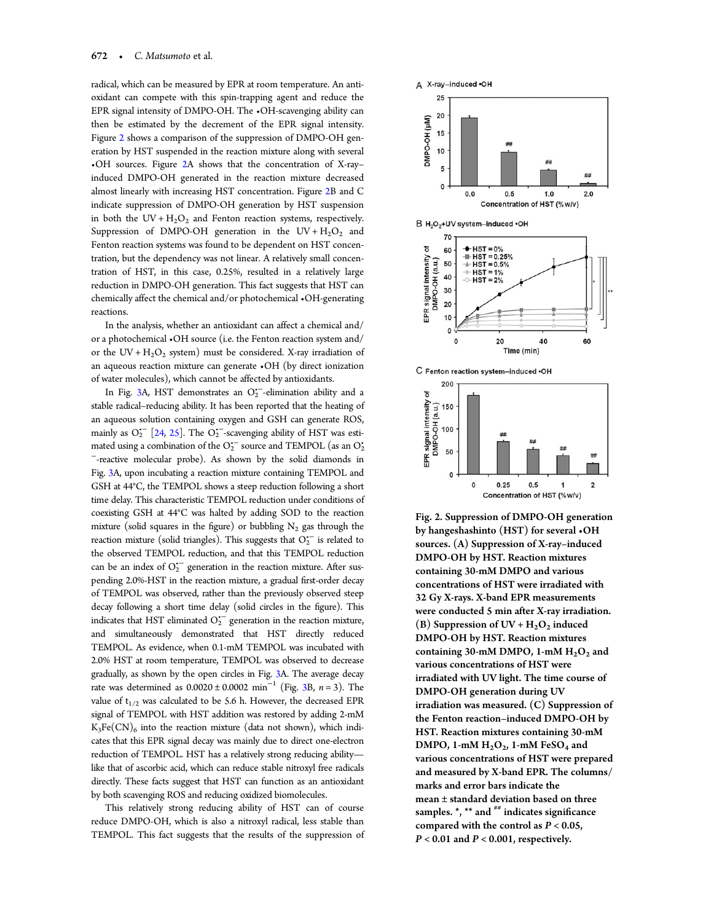<span id="page-3-0"></span>radical, which can be measured by EPR at room temperature. An antioxidant can compete with this spin-trapping agent and reduce the EPR signal intensity of DMPO-OH. The •OH-scavenging ability can then be estimated by the decrement of the EPR signal intensity. Figure 2 shows a comparison of the suppression of DMPO-OH generation by HST suspended in the reaction mixture along with several •OH sources. Figure 2A shows that the concentration of X-ray– induced DMPO-OH generated in the reaction mixture decreased almost linearly with increasing HST concentration. Figure 2B and C indicate suppression of DMPO-OH generation by HST suspension in both the  $UV + H_2O_2$  and Fenton reaction systems, respectively. Suppression of DMPO-OH generation in the  $UV + H_2O_2$  and Fenton reaction systems was found to be dependent on HST concentration, but the dependency was not linear. A relatively small concentration of HST, in this case, 0.25%, resulted in a relatively large reduction in DMPO-OH generation. This fact suggests that HST can chemically affect the chemical and/or photochemical •OH-generating reactions.

In the analysis, whether an antioxidant can affect a chemical and/ or a photochemical •OH source (i.e. the Fenton reaction system and/ or the UV +  $H_2O_2$  system) must be considered. X-ray irradiation of an aqueous reaction mixture can generate •OH (by direct ionization of water molecules), which cannot be affected by antioxidants.

In Fig. [3](#page-4-0)A, HST demonstrates an  $O_2^{\leftarrow}$ -elimination ability and a stable radical–reducing ability. It has been reported that the heating of an aqueous solution containing oxygen and GSH can generate ROS, mainly as  $O_2^{\prime -}$  [\[24,](#page-8-0) [25\]](#page-8-0). The  $O_2^{\prime -}$  scavenging ability of HST was estimated using a combination of the  $O_2^{\text{-}}$  source and TEMPOL (as an  $O_2^{\text{-}}$ <sup>−</sup>-reactive molecular probe). As shown by the solid diamonds in Fig. [3](#page-4-0)A, upon incubating a reaction mixture containing TEMPOL and GSH at 44°C, the TEMPOL shows a steep reduction following a short time delay. This characteristic TEMPOL reduction under conditions of coexisting GSH at 44°C was halted by adding SOD to the reaction mixture (solid squares in the figure) or bubbling  $N_2$  gas through the reaction mixture (solid triangles). This suggests that  $O_2^{\bullet-}$  is related to the observed TEMPOL reduction, and that this TEMPOL reduction can be an index of  $O_2^{\bullet -}$  generation in the reaction mixture. After suspending 2.0%-HST in the reaction mixture, a gradual first-order decay of TEMPOL was observed, rather than the previously observed steep decay following a short time delay (solid circles in the figure). This indicates that HST eliminated  $O_2^{\bullet -}$  generation in the reaction mixture, and simultaneously demonstrated that HST directly reduced TEMPOL. As evidence, when 0.1-mM TEMPOL was incubated with 2.0% HST at room temperature, TEMPOL was observed to decrease gradually, as shown by the open circles in Fig. [3A](#page-4-0). The average decay rate was determined as  $0.0020 \pm 0.0002$  min<sup>-1</sup> (Fig. [3](#page-4-0)B, n = 3). The value of  $t_{1/2}$  was calculated to be 5.6 h. However, the decreased EPR signal of TEMPOL with HST addition was restored by adding 2-mM  $K_3Fe(CN)_6$  into the reaction mixture (data not shown), which indicates that this EPR signal decay was mainly due to direct one-electron reduction of TEMPOL. HST has a relatively strong reducing ability like that of ascorbic acid, which can reduce stable nitroxyl free radicals directly. These facts suggest that HST can function as an antioxidant by both scavenging ROS and reducing oxidized biomolecules.

This relatively strong reducing ability of HST can of course reduce DMPO-OH, which is also a nitroxyl radical, less stable than TEMPOL. This fact suggests that the results of the suppression of



C Fenton reaction system-induced .OH



Fig. 2. Suppression of DMPO-OH generation by hangeshashinto (HST) for several •OH sources. (A) Suppression of X-ray–induced DMPO-OH by HST. Reaction mixtures containing 30-mM DMPO and various concentrations of HST were irradiated with 32 Gy X-rays. X-band EPR measurements were conducted 5 min after X-ray irradiation. (B) Suppression of  $UV + H<sub>2</sub>O<sub>2</sub>$  induced DMPO-OH by HST. Reaction mixtures containing  $30$ -mM DMPO, 1-mM  $H_2O_2$  and various concentrations of HST were irradiated with UV light. The time course of DMPO-OH generation during UV irradiation was measured. (C) Suppression of the Fenton reaction–induced DMPO-OH by HST. Reaction mixtures containing 30-mM DMPO, 1-mM  $H<sub>2</sub>O<sub>2</sub>$ , 1-mM FeSO<sub>4</sub> and various concentrations of HST were prepared and measured by X-band EPR. The columns/ marks and error bars indicate the mean ± standard deviation based on three samples.  $*,$  \*\* and  $**$  indicates significance compared with the control as  $P < 0.05$ ,  $P < 0.01$  and  $P < 0.001$ , respectively.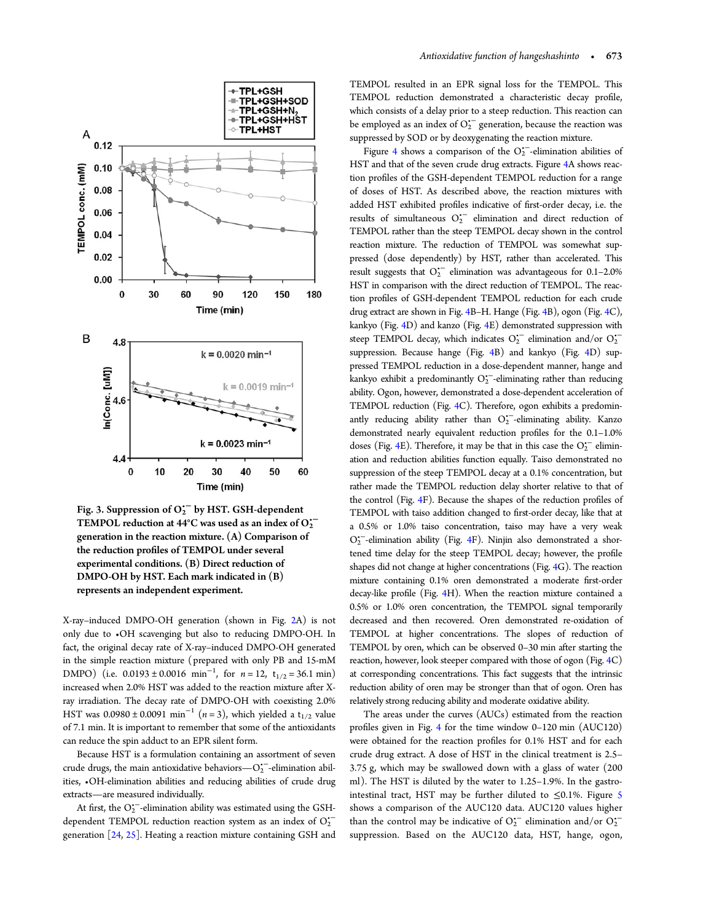<span id="page-4-0"></span>

Fig. 3. Suppression of O<sub>2</sub><sup>-</sup> by HST. GSH-dependent TEMPOL reduction at 44°C was used as an index of  $O_2^{\leftarrow}$ generation in the reaction mixture. (A) Comparison of the reduction profiles of TEMPOL under several experimental conditions. (B) Direct reduction of DMPO-OH by HST. Each mark indicated in (B) represents an independent experiment.

X-ray–induced DMPO-OH generation (shown in Fig. [2A](#page-3-0)) is not only due to •OH scavenging but also to reducing DMPO-OH. In fact, the original decay rate of X-ray–induced DMPO-OH generated in the simple reaction mixture (prepared with only PB and 15-mM DMPO) (i.e.  $0.0193 \pm 0.0016$  min<sup>-1</sup>, for  $n = 12$ ,  $t_{1/2} = 36.1$  min) increased when 2.0% HST was added to the reaction mixture after Xray irradiation. The decay rate of DMPO-OH with coexisting 2.0% HST was  $0.0980 \pm 0.0091 \text{ min}^{-1}$  (n = 3), which yielded a t<sub>1/2</sub> value of 7.1 min. It is important to remember that some of the antioxidants can reduce the spin adduct to an EPR silent form.

Because HST is a formulation containing an assortment of seven crude drugs, the main antioxidative behaviors— $O_2^{\leftarrow}$ -elimination abilities, •OH-elimination abilities and reducing abilities of crude drug extracts—are measured individually.

At first, the  $O_2^{\text{-}}$ -elimination ability was estimated using the GSHdependent TEMPOL reduction reaction system as an index of  $O_2^*$ generation [\[24,](#page-8-0) [25\]](#page-8-0). Heating a reaction mixture containing GSH and TEMPOL resulted in an EPR signal loss for the TEMPOL. This TEMPOL reduction demonstrated a characteristic decay profile, which consists of a delay prior to a steep reduction. This reaction can be employed as an index of  $O_2^{\leftarrow}$  generation, because the reaction was suppressed by SOD or by deoxygenating the reaction mixture.

Figure [4](#page-5-0) shows a comparison of the  $O_2^{\leftarrow}$ -elimination abilities of HST and that of the seven crude drug extracts. Figure [4A](#page-5-0) shows reaction profiles of the GSH-dependent TEMPOL reduction for a range of doses of HST. As described above, the reaction mixtures with added HST exhibited profiles indicative of first-order decay, i.e. the results of simultaneous  $O_2^{\leftarrow}$  elimination and direct reduction of TEMPOL rather than the steep TEMPOL decay shown in the control reaction mixture. The reduction of TEMPOL was somewhat suppressed (dose dependently) by HST, rather than accelerated. This result suggests that  $O_2^{\bullet-}$  elimination was advantageous for 0.1-2.0% HST in comparison with the direct reduction of TEMPOL. The reaction profiles of GSH-dependent TEMPOL reduction for each crude drug extract are shown in Fig. [4](#page-5-0)B–H. Hange (Fig. [4](#page-5-0)B), ogon (Fig. [4C](#page-5-0)), kankyo (Fig. [4](#page-5-0)D) and kanzo (Fig. [4E](#page-5-0)) demonstrated suppression with steep TEMPOL decay, which indicates  $O_2^{\star-}$  elimination and/or  $O_2^{\star-}$ suppression. Because hange (Fig. [4](#page-5-0)B) and kankyo (Fig. [4D](#page-5-0)) suppressed TEMPOL reduction in a dose-dependent manner, hange and kankyo exhibit a predominantly O<sup>2</sup><sup>-</sup>-eliminating rather than reducing ability. Ogon, however, demonstrated a dose-dependent acceleration of TEMPOL reduction (Fig. [4C](#page-5-0)). Therefore, ogon exhibits a predominantly reducing ability rather than  $O_2^{\leftarrow}$ -eliminating ability. Kanzo demonstrated nearly equivalent reduction profiles for the 0.1–1.0% doses (Fig. [4](#page-5-0)E). Therefore, it may be that in this case the  $O_2^{\bullet-}$  elimination and reduction abilities function equally. Taiso demonstrated no suppression of the steep TEMPOL decay at a 0.1% concentration, but rather made the TEMPOL reduction delay shorter relative to that of the control (Fig. [4F](#page-5-0)). Because the shapes of the reduction profiles of TEMPOL with taiso addition changed to first-order decay, like that at a 0.5% or 1.0% taiso concentration, taiso may have a very weak O<sub>2</sub><sup>--</sup>elimination ability (Fig. [4F](#page-5-0)). Ninjin also demonstrated a shortened time delay for the steep TEMPOL decay; however, the profile shapes did not change at higher concentrations (Fig. [4](#page-5-0)G). The reaction mixture containing 0.1% oren demonstrated a moderate first-order decay-like profile (Fig. [4](#page-5-0)H). When the reaction mixture contained a 0.5% or 1.0% oren concentration, the TEMPOL signal temporarily decreased and then recovered. Oren demonstrated re-oxidation of TEMPOL at higher concentrations. The slopes of reduction of TEMPOL by oren, which can be observed 0–30 min after starting the reaction, however, look steeper compared with those of ogon (Fig. [4C](#page-5-0)) at corresponding concentrations. This fact suggests that the intrinsic reduction ability of oren may be stronger than that of ogon. Oren has relatively strong reducing ability and moderate oxidative ability.

The areas under the curves (AUCs) estimated from the reaction profiles given in Fig. [4](#page-5-0) for the time window 0–120 min (AUC120) were obtained for the reaction profiles for 0.1% HST and for each crude drug extract. A dose of HST in the clinical treatment is 2.5– 3.75 g, which may be swallowed down with a glass of water (200 ml). The HST is diluted by the water to 1.25–1.9%. In the gastrointestinal tract, HST may be further diluted to  $\leq 0.1\%$ . Figure [5](#page-6-0) shows a comparison of the AUC120 data. AUC120 values higher than the control may be indicative of  $O_2^{\bullet-}$  elimination and/or  $O_2^{\bullet-}$ suppression. Based on the AUC120 data, HST, hange, ogon,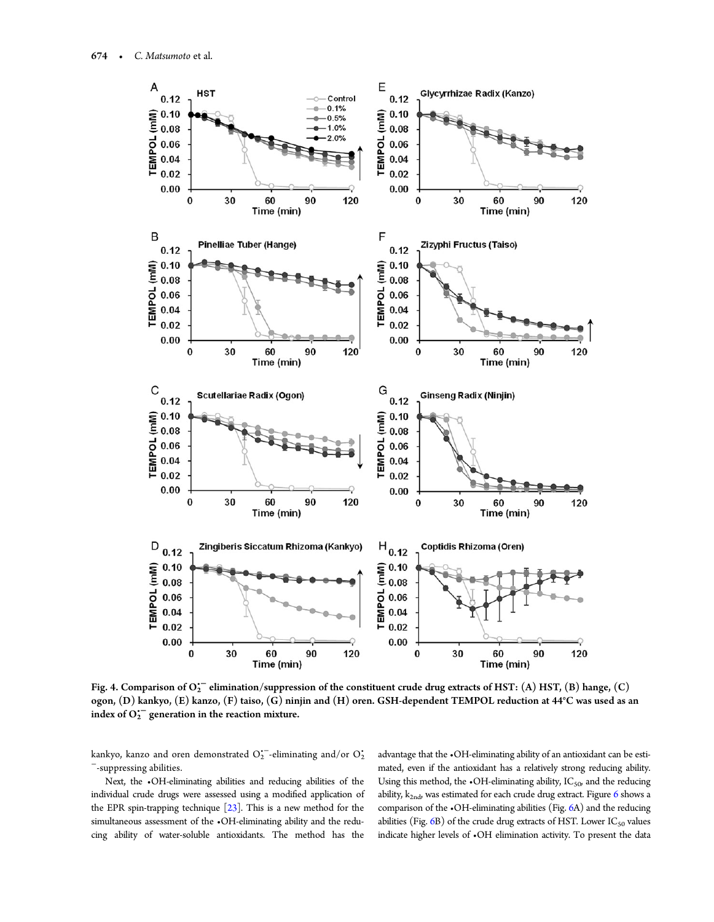<span id="page-5-0"></span>

Fig. 4. Comparison of  $O_2^{\text{--}}$  elimination/suppression of the constituent crude drug extracts of HST: (A) HST, (B) hange, (C) ogon, (D) kankyo, (E) kanzo, (F) taiso, (G) ninjin and (H) oren. GSH-dependent TEMPOL reduction at 44°C was used as an index of  $O_2^{\leftarrow}$  generation in the reaction mixture.

kankyo, kanzo and oren demonstrated  $O_2^{+-}$ eliminating and/or  $O_2^{+}$ <sup>−</sup>-suppressing abilities.

Next, the •OH-eliminating abilities and reducing abilities of the individual crude drugs were assessed using a modified application of the EPR spin-trapping technique [\[23](#page-8-0)]. This is a new method for the simultaneous assessment of the •OH-eliminating ability and the reducing ability of water-soluble antioxidants. The method has the

advantage that the •OH-eliminating ability of an antioxidant can be estimated, even if the antioxidant has a relatively strong reducing ability. Using this method, the  $\bullet$ OH-eliminating ability, IC<sub>50</sub>, and the reducing ability,  $k_{2nd}$ , was estimated for each crude drug extract. Figure [6](#page-6-0) shows a comparison of the •OH-eliminating abilities (Fig. [6](#page-6-0)A) and the reducing abilities (Fig.  $6B$  $6B$ ) of the crude drug extracts of HST. Lower IC<sub>50</sub> values indicate higher levels of •OH elimination activity. To present the data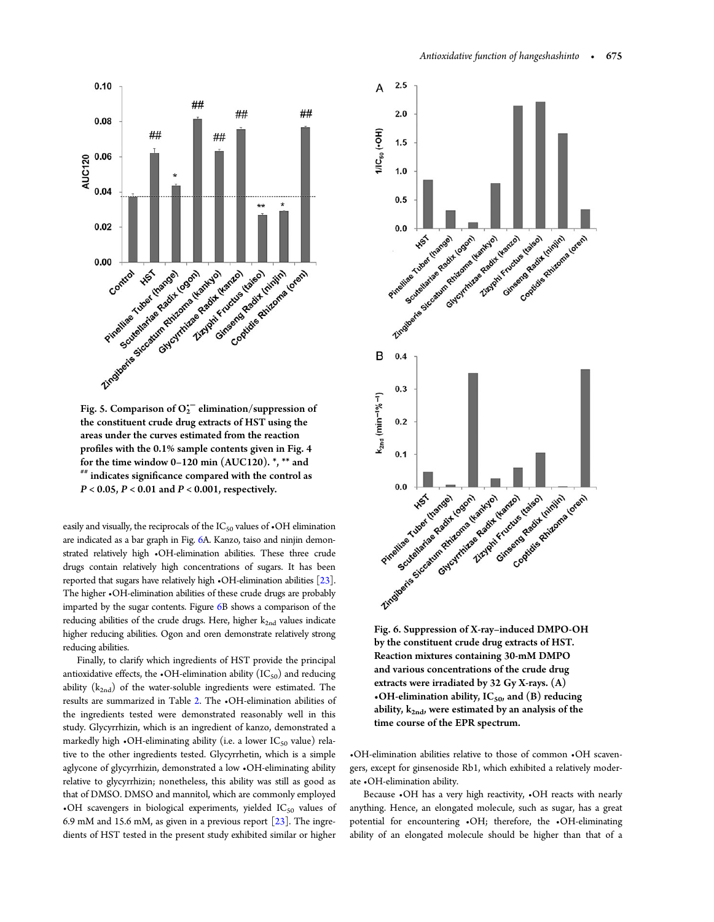<span id="page-6-0"></span>

Fig. 5. Comparison of  $O_2^{\leftarrow}$  elimination/suppression of the constituent crude drug extracts of HST using the areas under the curves estimated from the reaction profiles with the 0.1% sample contents given in Fig. 4 for the time window 0–120 min (AUC120).  $*$ ,  $**$  and  $**$  indicates significance compared with the control as  $P < 0.05$ ,  $P < 0.01$  and  $P < 0.001$ , respectively.

easily and visually, the reciprocals of the IC<sub>50</sub> values of  $\cdot$ OH elimination are indicated as a bar graph in Fig. 6A. Kanzo, taiso and ninjin demonstrated relatively high •OH-elimination abilities. These three crude drugs contain relatively high concentrations of sugars. It has been reported that sugars have relatively high •OH-elimination abilities [[23\]](#page-8-0). The higher •OH-elimination abilities of these crude drugs are probably imparted by the sugar contents. Figure 6B shows a comparison of the reducing abilities of the crude drugs. Here, higher k<sub>2nd</sub> values indicate higher reducing abilities. Ogon and oren demonstrate relatively strong reducing abilities.

Finally, to clarify which ingredients of HST provide the principal antioxidative effects, the  $\cdot$ OH-elimination ability (IC<sub>50</sub>) and reducing ability  $(k_{2nd})$  of the water-soluble ingredients were estimated. The results are summarized in Table [2](#page-7-0). The •OH-elimination abilities of the ingredients tested were demonstrated reasonably well in this study. Glycyrrhizin, which is an ingredient of kanzo, demonstrated a markedly high  $\cdot$ OH-eliminating ability (i.e. a lower IC<sub>50</sub> value) relative to the other ingredients tested. Glycyrrhetin, which is a simple aglycone of glycyrrhizin, demonstrated a low •OH-eliminating ability relative to glycyrrhizin; nonetheless, this ability was still as good as that of DMSO. DMSO and mannitol, which are commonly employed  $\bullet$ OH scavengers in biological experiments, yielded IC<sub>50</sub> values of 6.9 mM and 15.6 mM, as given in a previous report [\[23](#page-8-0)]. The ingredients of HST tested in the present study exhibited similar or higher



by the constituent crude drug extracts of HST. Reaction mixtures containing 30-mM DMPO and various concentrations of the crude drug extracts were irradiated by 32 Gy X-rays. (A) •OH-elimination ability,  $IC_{50}$ , and (B) reducing ability,  $k_{2nd}$ , were estimated by an analysis of the time course of the EPR spectrum.

•OH-elimination abilities relative to those of common •OH scavengers, except for ginsenoside Rb1, which exhibited a relatively moderate •OH-elimination ability.

Because •OH has a very high reactivity, •OH reacts with nearly anything. Hence, an elongated molecule, such as sugar, has a great potential for encountering •OH; therefore, the •OH-eliminating ability of an elongated molecule should be higher than that of a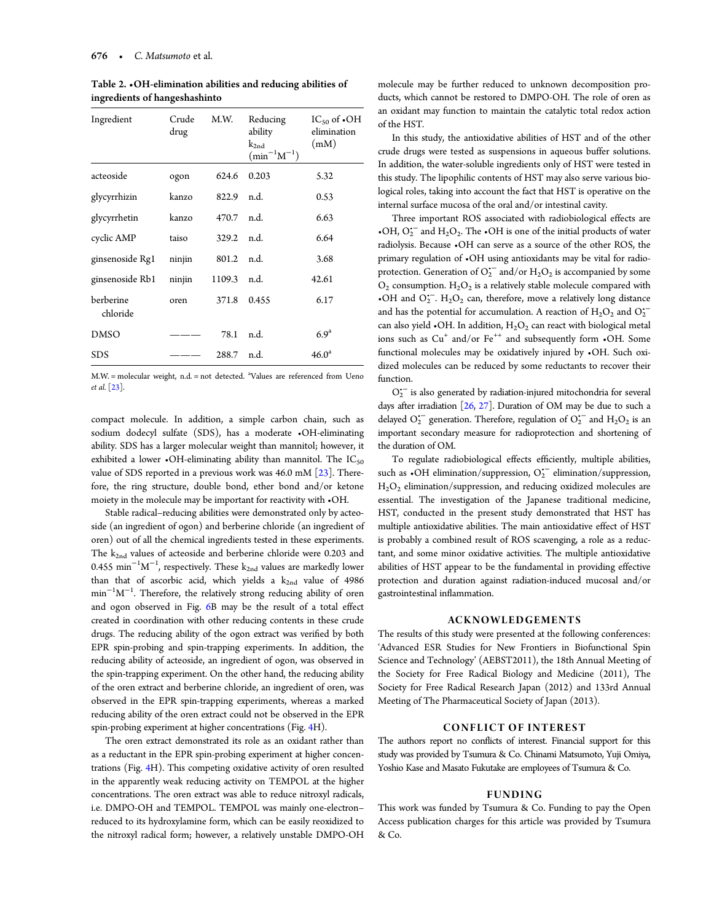| Ingredient            | Crude<br>drug | M.W.   | Reducing<br>ability<br>$k_{2nd}$<br>$(min^{-1}M^{-1})$ | IC <sub>50</sub> of $\bullet$ OH<br>elimination<br>(mM) |
|-----------------------|---------------|--------|--------------------------------------------------------|---------------------------------------------------------|
| acteoside             | ogon          | 624.6  | 0.203                                                  | 5.32                                                    |
| glycyrrhizin          | kanzo         | 822.9  | n.d.                                                   | 0.53                                                    |
| glycyrrhetin          | kanzo         | 470.7  | n.d.                                                   | 6.63                                                    |
| cyclic AMP            | taiso         | 329.2  | n.d.                                                   | 6.64                                                    |
| ginsenoside Rg1       | ninjin        | 801.2  | n.d.                                                   | 3.68                                                    |
| ginsenoside Rb1       | ninjin        | 1109.3 | n.d.                                                   | 42.61                                                   |
| berberine<br>chloride | oren          | 371.8  | 0.455                                                  | 6.17                                                    |
| <b>DMSO</b>           |               | 78.1   | n.d.                                                   | 6.9 <sup>a</sup>                                        |
| <b>SDS</b>            |               | 288.7  | n.d.                                                   | 46.0 <sup>a</sup>                                       |

<span id="page-7-0"></span>Table 2. •OH-elimination abilities and reducing abilities of ingredients of hangeshashinto

M.W. = molecular weight, n.d. = not detected. <sup>a</sup>Values are referenced from Ueno et al. [[23\]](#page-8-0).

compact molecule. In addition, a simple carbon chain, such as sodium dodecyl sulfate (SDS), has a moderate •OH-eliminating ability. SDS has a larger molecular weight than mannitol; however, it exhibited a lower •OH-eliminating ability than mannitol. The  $IC_{50}$ value of SDS reported in a previous work was  $46.0$  mM  $[23]$ . Therefore, the ring structure, double bond, ether bond and/or ketone moiety in the molecule may be important for reactivity with •OH.

Stable radical–reducing abilities were demonstrated only by acteoside (an ingredient of ogon) and berberine chloride (an ingredient of oren) out of all the chemical ingredients tested in these experiments. The k<sub>2nd</sub> values of acteoside and berberine chloride were 0.203 and  $0.455\,$   $\mathrm{min}^{-1}\mathrm{M}^{-1}$ , respectively. These  $\mathrm{k_{2nd}}$  values are markedly lower than that of ascorbic acid, which yields a  $k_{2nd}$  value of 4986 min<sup>-1</sup>M<sup>-1</sup>. Therefore, the relatively strong reducing ability of oren and ogon observed in Fig. [6B](#page-6-0) may be the result of a total effect created in coordination with other reducing contents in these crude drugs. The reducing ability of the ogon extract was verified by both EPR spin-probing and spin-trapping experiments. In addition, the reducing ability of acteoside, an ingredient of ogon, was observed in the spin-trapping experiment. On the other hand, the reducing ability of the oren extract and berberine chloride, an ingredient of oren, was observed in the EPR spin-trapping experiments, whereas a marked reducing ability of the oren extract could not be observed in the EPR spin-probing experiment at higher concentrations (Fig. [4H](#page-5-0)).

The oren extract demonstrated its role as an oxidant rather than as a reductant in the EPR spin-probing experiment at higher concentrations (Fig. [4](#page-5-0)H). This competing oxidative activity of oren resulted in the apparently weak reducing activity on TEMPOL at the higher concentrations. The oren extract was able to reduce nitroxyl radicals, i.e. DMPO-OH and TEMPOL. TEMPOL was mainly one-electron– reduced to its hydroxylamine form, which can be easily reoxidized to the nitroxyl radical form; however, a relatively unstable DMPO-OH

molecule may be further reduced to unknown decomposition products, which cannot be restored to DMPO-OH. The role of oren as an oxidant may function to maintain the catalytic total redox action of the HST.

In this study, the antioxidative abilities of HST and of the other crude drugs were tested as suspensions in aqueous buffer solutions. In addition, the water-soluble ingredients only of HST were tested in this study. The lipophilic contents of HST may also serve various biological roles, taking into account the fact that HST is operative on the internal surface mucosa of the oral and/or intestinal cavity.

Three important ROS associated with radiobiological effects are •OH,  $O_2^{\bullet-}$  and  $H_2O_2$ . The •OH is one of the initial products of water radiolysis. Because •OH can serve as a source of the other ROS, the primary regulation of •OH using antioxidants may be vital for radioprotection. Generation of  $O_2^{\text{-}}$  and/or  $\text{H}_2\text{O}_2$  is accompanied by some  $O_2$  consumption.  $H_2O_2$  is a relatively stable molecule compared with •OH and  $O_2^-$ .  $H_2O_2$  can, therefore, move a relatively long distance and has the potential for accumulation. A reaction of  $H_2O_2$  and  $O_2^{\bullet-}$ can also yield  $\cdot$ OH. In addition,  $H_2O_2$  can react with biological metal ions such as Cu<sup>+</sup> and/or Fe<sup>++</sup> and subsequently form •OH. Some functional molecules may be oxidatively injured by •OH. Such oxidized molecules can be reduced by some reductants to recover their function.

 $O_2^{\raisebox{0.16ex}{$\scriptscriptstyle\bullet$}}$  is also generated by radiation-injured mitochondria for several days after irradiation  $[26, 27]$  $[26, 27]$  $[26, 27]$  $[26, 27]$ . Duration of OM may be due to such a delayed  $O_2^{\leftarrow}$  generation. Therefore, regulation of  $O_2^{\leftarrow}$  and  $H_2O_2$  is an important secondary measure for radioprotection and shortening of the duration of OM.

To regulate radiobiological effects efficiently, multiple abilities, such as  $\cdot$ OH elimination/suppression, O<sub>2</sub><sup>-</sup> elimination/suppression,  $H<sub>2</sub>O<sub>2</sub>$  elimination/suppression, and reducing oxidized molecules are essential. The investigation of the Japanese traditional medicine, HST, conducted in the present study demonstrated that HST has multiple antioxidative abilities. The main antioxidative effect of HST is probably a combined result of ROS scavenging, a role as a reductant, and some minor oxidative activities. The multiple antioxidative abilities of HST appear to be the fundamental in providing effective protection and duration against radiation-induced mucosal and/or gastrointestinal inflammation.

## ACKNOWLEDGEMENTS

The results of this study were presented at the following conferences: 'Advanced ESR Studies for New Frontiers in Biofunctional Spin Science and Technology' (AEBST2011), the 18th Annual Meeting of the Society for Free Radical Biology and Medicine (2011), The Society for Free Radical Research Japan (2012) and 133rd Annual Meeting of The Pharmaceutical Society of Japan (2013).

## CONFLICT OF INTEREST

The authors report no conflicts of interest. Financial support for this study was provided by Tsumura & Co. Chinami Matsumoto, Yuji Omiya, Yoshio Kase and Masato Fukutake are employees of Tsumura & Co.

## FUNDING

This work was funded by Tsumura & Co. Funding to pay the Open Access publication charges for this article was provided by Tsumura & Co.